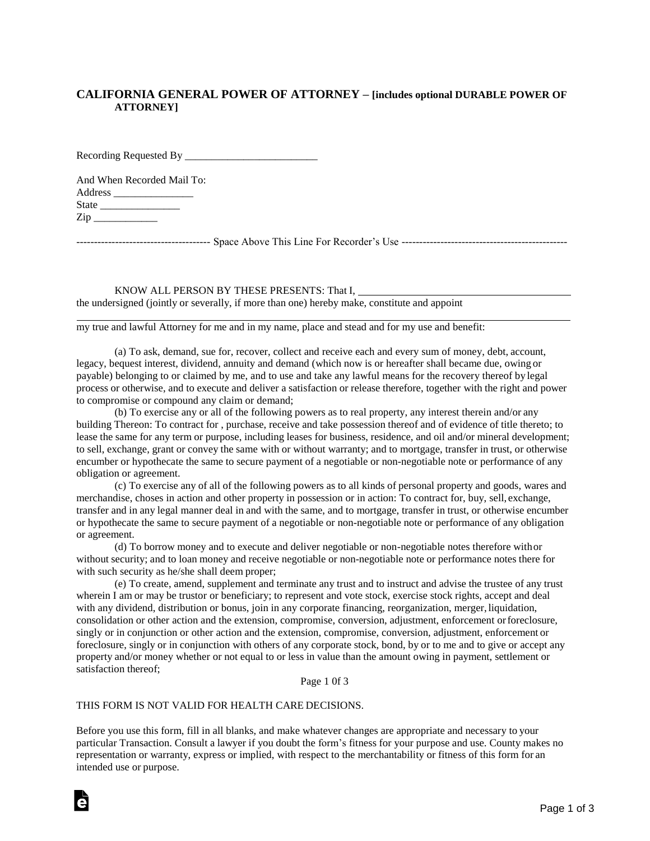# **CALIFORNIA GENERAL POWER OF ATTORNEY – [includes optional DURABLE POWER OF ATTORNEY]**

Recording Requested By \_\_\_\_\_\_\_\_\_\_\_\_\_\_\_\_\_\_\_\_\_\_\_\_\_

And When Recorded Mail To: Address \_\_\_\_\_\_\_\_\_\_\_\_\_\_\_ State \_\_\_\_\_\_\_\_\_\_\_\_\_\_\_  $\mathbf{Zip}$ 

-------------------------------------- Space Above This Line For Recorder's Use -----------------------------------------------

KNOW ALL PERSON BY THESE PRESENTS: That I, the undersigned (jointly or severally, if more than one) hereby make, constitute and appoint

my true and lawful Attorney for me and in my name, place and stead and for my use and benefit:

(a) To ask, demand, sue for, recover, collect and receive each and every sum of money, debt, account, legacy, bequest interest, dividend, annuity and demand (which now is or hereafter shall became due, owing or payable) belonging to or claimed by me, and to use and take any lawful means for the recovery thereof by legal process or otherwise, and to execute and deliver a satisfaction or release therefore, together with the right and power to compromise or compound any claim or demand;

(b) To exercise any or all of the following powers as to real property, any interest therein and/or any building Thereon: To contract for , purchase, receive and take possession thereof and of evidence of title thereto; to lease the same for any term or purpose, including leases for business, residence, and oil and/or mineral development; to sell, exchange, grant or convey the same with or without warranty; and to mortgage, transfer in trust, or otherwise encumber or hypothecate the same to secure payment of a negotiable or non-negotiable note or performance of any obligation or agreement.

(c) To exercise any of all of the following powers as to all kinds of personal property and goods, wares and merchandise, choses in action and other property in possession or in action: To contract for, buy, sell, exchange, transfer and in any legal manner deal in and with the same, and to mortgage, transfer in trust, or otherwise encumber or hypothecate the same to secure payment of a negotiable or non-negotiable note or performance of any obligation or agreement.

(d) To borrow money and to execute and deliver negotiable or non-negotiable notes therefore with or without security; and to loan money and receive negotiable or non-negotiable note or performance notes there for with such security as he/she shall deem proper;

(e) To create, amend, supplement and terminate any trust and to instruct and advise the trustee of any trust wherein I am or may be trustor or beneficiary; to represent and vote stock, exercise stock rights, accept and deal with any dividend, distribution or bonus, join in any corporate financing, reorganization, merger, liquidation, consolidation or other action and the extension, compromise, conversion, adjustment, enforcement or foreclosure, singly or in conjunction or other action and the extension, compromise, conversion, adjustment, enforcement or foreclosure, singly or in conjunction with others of any corporate stock, bond, by or to me and to give or accept any property and/or money whether or not equal to or less in value than the amount owing in payment, settlement or satisfaction thereof;

Page 1 0f 3

#### THIS FORM IS NOT VALID FOR HEALTH CARE DECISIONS.

ā

Before you use this form, fill in all blanks, and make whatever changes are appropriate and necessary to your particular Transaction. Consult a lawyer if you doubt the form's fitness for your purpose and use. County makes no representation or warranty, express or implied, with respect to the merchantability or fitness of this form for an intended use or purpose.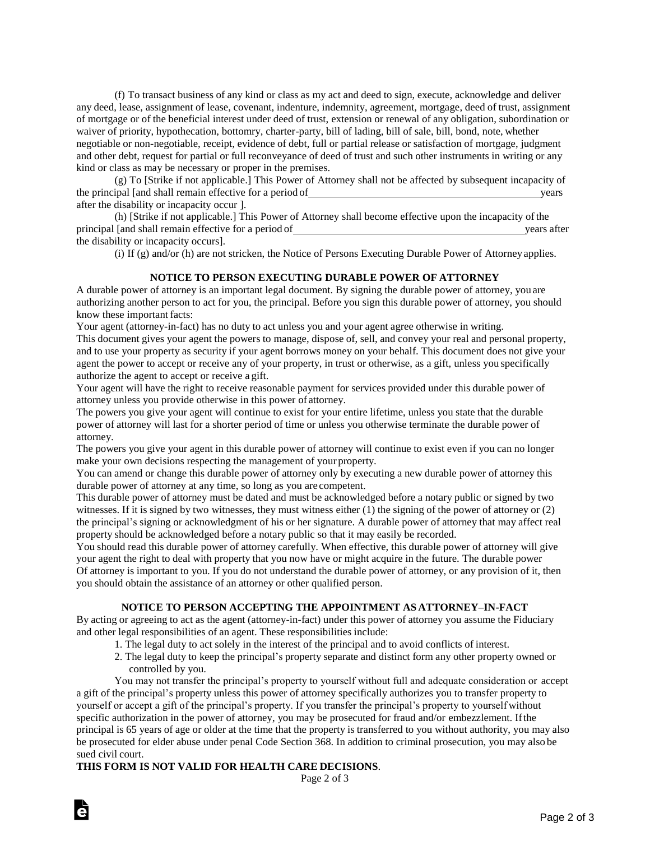(f) To transact business of any kind or class as my act and deed to sign, execute, acknowledge and deliver any deed, lease, assignment of lease, covenant, indenture, indemnity, agreement, mortgage, deed of trust, assignment of mortgage or of the beneficial interest under deed of trust, extension or renewal of any obligation, subordination or waiver of priority, hypothecation, bottomry, charter-party, bill of lading, bill of sale, bill, bond, note, whether negotiable or non-negotiable, receipt, evidence of debt, full or partial release or satisfaction of mortgage, judgment and other debt, request for partial or full reconveyance of deed of trust and such other instruments in writing or any kind or class as may be necessary or proper in the premises.

(g) To [Strike if not applicable.] This Power of Attorney shall not be affected by subsequent incapacity of the principal [and shall remain effective for a period of years after the disability or incapacity occur ].

(h) [Strike if not applicable.] This Power of Attorney shall become effective upon the incapacity ofthe principal [and shall remain effective for a period of years after the disability or incapacity occurs].

(i) If (g) and/or (h) are not stricken, the Notice of Persons Executing Durable Power of Attorneyapplies.

#### **NOTICE TO PERSON EXECUTING DURABLE POWER OF ATTORNEY**

A durable power of attorney is an important legal document. By signing the durable power of attorney, you are authorizing another person to act for you, the principal. Before you sign this durable power of attorney, you should know these important facts:

Your agent (attorney-in-fact) has no duty to act unless you and your agent agree otherwise in writing.

This document gives your agent the powers to manage, dispose of, sell, and convey your real and personal property, and to use your property as security if your agent borrows money on your behalf. This document does not give your agent the power to accept or receive any of your property, in trust or otherwise, as a gift, unless you specifically authorize the agent to accept or receive a gift.

Your agent will have the right to receive reasonable payment for services provided under this durable power of attorney unless you provide otherwise in this power of attorney.

The powers you give your agent will continue to exist for your entire lifetime, unless you state that the durable power of attorney will last for a shorter period of time or unless you otherwise terminate the durable power of attorney.

The powers you give your agent in this durable power of attorney will continue to exist even if you can no longer make your own decisions respecting the management of your property.

You can amend or change this durable power of attorney only by executing a new durable power of attorney this durable power of attorney at any time, so long as you are competent.

This durable power of attorney must be dated and must be acknowledged before a notary public or signed by two witnesses. If it is signed by two witnesses, they must witness either  $(1)$  the signing of the power of attorney or  $(2)$ the principal's signing or acknowledgment of his or her signature. A durable power of attorney that may affect real property should be acknowledged before a notary public so that it may easily be recorded.

You should read this durable power of attorney carefully. When effective, this durable power of attorney will give your agent the right to deal with property that you now have or might acquire in the future. The durable power Of attorney is important to you. If you do not understand the durable power of attorney, or any provision of it, then you should obtain the assistance of an attorney or other qualified person.

## **NOTICE TO PERSON ACCEPTING THE APPOINTMENT AS ATTORNEY–IN-FACT**

By acting or agreeing to act as the agent (attorney-in-fact) under this power of attorney you assume the Fiduciary and other legal responsibilities of an agent. These responsibilities include:

- 1. The legal duty to act solely in the interest of the principal and to avoid conflicts of interest.
- 2. The legal duty to keep the principal's property separate and distinct form any other property owned or controlled by you.

You may not transfer the principal's property to yourself without full and adequate consideration or accept a gift of the principal's property unless this power of attorney specifically authorizes you to transfer property to yourself or accept a gift of the principal's property. If you transfer the principal's property to yourself without specific authorization in the power of attorney, you may be prosecuted for fraud and/or embezzlement. Ifthe principal is 65 years of age or older at the time that the property is transferred to you without authority, you may also be prosecuted for elder abuse under penal Code Section 368. In addition to criminal prosecution, you may also be sued civil court.

## **THIS FORM IS NOT VALID FOR HEALTH CARE DECISIONS**.

à

Page 2 of 3